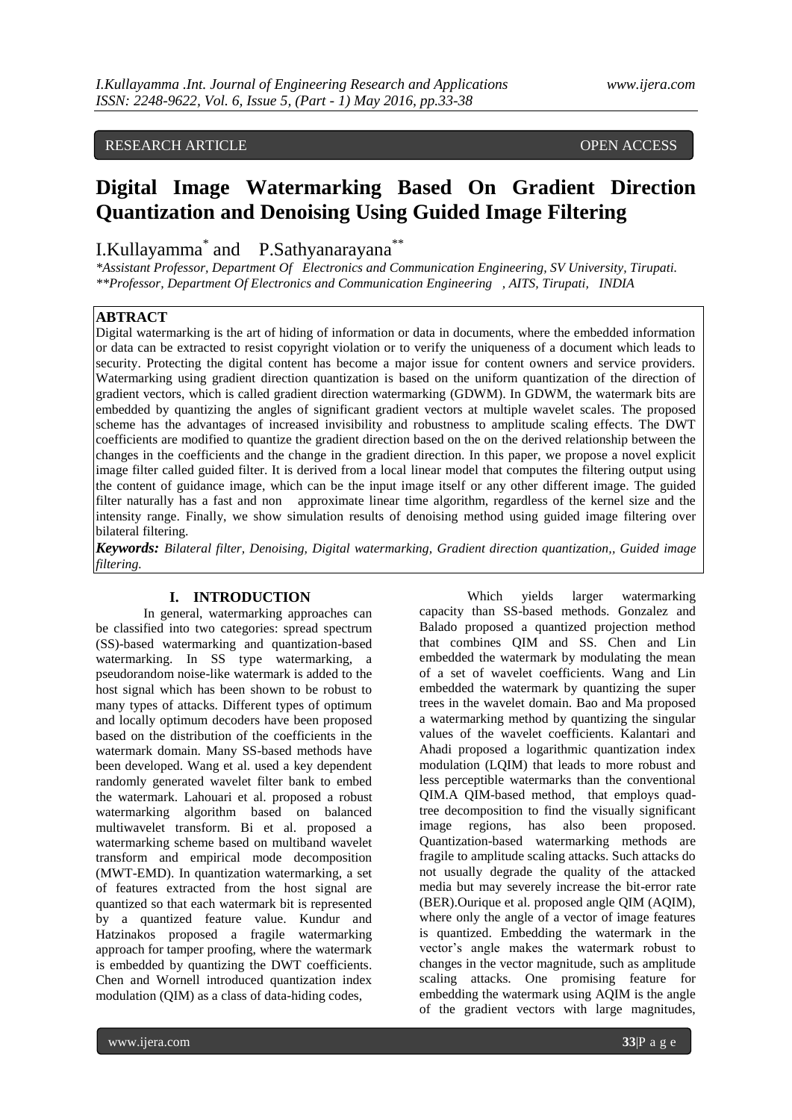### RESEARCH ARTICLE OPEN ACCESS

# **Digital Image Watermarking Based On Gradient Direction Quantization and Denoising Using Guided Image Filtering**

# I.Kullayamma\* and P.Sathyanarayana\*\*

*\*Assistant Professor, Department Of Electronics and Communication Engineering, SV University, Tirupati. \*\*Professor, Department Of Electronics and Communication Engineering , AITS, Tirupati, INDIA*

### **ABTRACT**

Digital watermarking is the art of hiding of information or data in documents, where the embedded information or data can be extracted to resist copyright violation or to verify the uniqueness of a document which leads to security. Protecting the digital content has become a major issue for content owners and service providers. Watermarking using gradient direction quantization is based on the uniform quantization of the direction of gradient vectors, which is called gradient direction watermarking (GDWM). In GDWM, the watermark bits are embedded by quantizing the angles of significant gradient vectors at multiple wavelet scales. The proposed scheme has the advantages of increased invisibility and robustness to amplitude scaling effects. The DWT coefficients are modified to quantize the gradient direction based on the on the derived relationship between the changes in the coefficients and the change in the gradient direction. In this paper, we propose a novel explicit image filter called guided filter. It is derived from a local linear model that computes the filtering output using the content of guidance image, which can be the input image itself or any other different image. The guided filter naturally has a fast and non approximate linear time algorithm, regardless of the kernel size and the intensity range. Finally, we show simulation results of denoising method using guided image filtering over bilateral filtering.

*Keywords: Bilateral filter, Denoising, Digital watermarking, Gradient direction quantization,, Guided image filtering.*

#### **I. INTRODUCTION**

In general, watermarking approaches can be classified into two categories: spread spectrum (SS)-based watermarking and quantization-based watermarking. In SS type watermarking, a pseudorandom noise-like watermark is added to the host signal which has been shown to be robust to many types of attacks. Different types of optimum and locally optimum decoders have been proposed based on the distribution of the coefficients in the watermark domain. Many SS-based methods have been developed. Wang et al. used a key dependent randomly generated wavelet filter bank to embed the watermark. Lahouari et al. proposed a robust watermarking algorithm based on balanced multiwavelet transform. Bi et al. proposed a watermarking scheme based on multiband wavelet transform and empirical mode decomposition (MWT-EMD). In quantization watermarking, a set of features extracted from the host signal are quantized so that each watermark bit is represented by a quantized feature value. Kundur and Hatzinakos proposed a fragile watermarking approach for tamper proofing, where the watermark is embedded by quantizing the DWT coefficients. Chen and Wornell introduced quantization index modulation (QIM) as a class of data-hiding codes,

Which yields larger watermarking capacity than SS-based methods. Gonzalez and Balado proposed a quantized projection method that combines QIM and SS. Chen and Lin embedded the watermark by modulating the mean of a set of wavelet coefficients. Wang and Lin embedded the watermark by quantizing the super trees in the wavelet domain. Bao and Ma proposed a watermarking method by quantizing the singular values of the wavelet coefficients. Kalantari and Ahadi proposed a logarithmic quantization index modulation (LQIM) that leads to more robust and less perceptible watermarks than the conventional QIM.A QIM-based method, that employs quadtree decomposition to find the visually significant image regions, has also been proposed. Quantization-based watermarking methods are fragile to amplitude scaling attacks. Such attacks do not usually degrade the quality of the attacked media but may severely increase the bit-error rate (BER).Ourique et al. proposed angle QIM (AQIM), where only the angle of a vector of image features is quantized. Embedding the watermark in the vector's angle makes the watermark robust to changes in the vector magnitude, such as amplitude scaling attacks. One promising feature for embedding the watermark using AQIM is the angle of the gradient vectors with large magnitudes,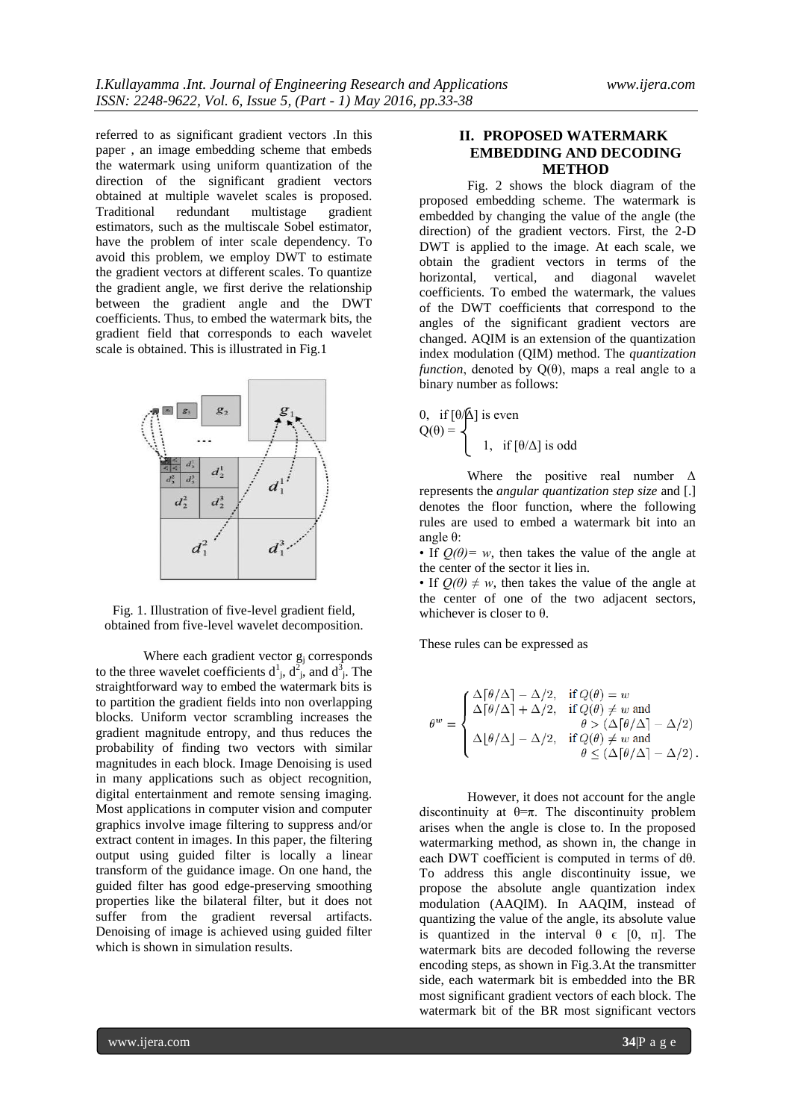referred to as significant gradient vectors .In this paper , an image embedding scheme that embeds the watermark using uniform quantization of the direction of the significant gradient vectors obtained at multiple wavelet scales is proposed. Traditional redundant multistage gradient estimators, such as the multiscale Sobel estimator, have the problem of inter scale dependency. To avoid this problem, we employ DWT to estimate the gradient vectors at different scales. To quantize the gradient angle, we first derive the relationship between the gradient angle and the DWT coefficients. Thus, to embed the watermark bits, the gradient field that corresponds to each wavelet scale is obtained. This is illustrated in Fig.1



Fig. 1. Illustration of five-level gradient field, obtained from five-level wavelet decomposition.

Where each gradient vector  $g_j$  corresponds to the three wavelet coefficients  $d^1$ ,  $d^2$ , and  $d^3$ . The straightforward way to embed the watermark bits is to partition the gradient fields into non overlapping blocks. Uniform vector scrambling increases the gradient magnitude entropy, and thus reduces the probability of finding two vectors with similar magnitudes in each block. Image Denoising is used in many applications such as object recognition, digital entertainment and remote sensing imaging. Most applications in computer vision and computer graphics involve image filtering to suppress and/or extract content in images. In this paper, the filtering output using guided filter is locally a linear transform of the guidance image. On one hand, the guided filter has good edge-preserving smoothing properties like the bilateral filter, but it does not suffer from the gradient reversal artifacts. Denoising of image is achieved using guided filter which is shown in simulation results.

### **II. PROPOSED WATERMARK EMBEDDING AND DECODING METHOD**

Fig. 2 shows the block diagram of the proposed embedding scheme. The watermark is embedded by changing the value of the angle (the direction) of the gradient vectors. First, the 2-D DWT is applied to the image. At each scale, we obtain the gradient vectors in terms of the horizontal, vertical, and diagonal wavelet coefficients. To embed the watermark, the values of the DWT coefficients that correspond to the angles of the significant gradient vectors are changed. AQIM is an extension of the quantization index modulation (QIM) method. The *quantization function*, denoted by  $Q(\theta)$ , maps a real angle to a binary number as follows:

0, if 
$$
\left[\theta/\Delta\right]
$$
 is even  
\n $Q(\theta) =$ \n
$$
1, \text{ if } \left[\theta/\Delta\right] \text{ is odd}
$$

Where the positive real number  $\Delta$ represents the *angular quantization step size* and [.] denotes the floor function, where the following rules are used to embed a watermark bit into an angle θ:

• If  $Q(\theta) = w$ , then takes the value of the angle at the center of the sector it lies in.

• If  $O(\theta) \neq w$ , then takes the value of the angle at the center of one of the two adjacent sectors, whichever is closer to  $\theta$ .

These rules can be expressed as

$$
\theta^w = \begin{cases}\n\frac{\Delta \lceil \theta / \Delta \rceil - \Delta / 2, & \text{if } Q(\theta) = w \\
\Delta \lceil \theta / \Delta \rceil + \Delta / 2, & \text{if } Q(\theta) \neq w \text{ and} \\
& \theta > (\Delta \lceil \theta / \Delta \rceil - \Delta / 2) \\
\Delta \lfloor \theta / \Delta \rfloor - \Delta / 2, & \text{if } Q(\theta) \neq w \text{ and} \\
& \theta \leq (\Delta \lceil \theta / \Delta \rceil - \Delta / 2).\n\end{cases}
$$

However, it does not account for the angle discontinuity at  $\theta = \pi$ . The discontinuity problem arises when the angle is close to. In the proposed watermarking method, as shown in, the change in each DWT coefficient is computed in terms of dθ. To address this angle discontinuity issue, we propose the absolute angle quantization index modulation (AAQIM). In AAQIM, instead of quantizing the value of the angle, its absolute value is quantized in the interval  $\theta \in [0, \pi]$ . The watermark bits are decoded following the reverse encoding steps, as shown in Fig.3.At the transmitter side, each watermark bit is embedded into the BR most significant gradient vectors of each block. The watermark bit of the BR most significant vectors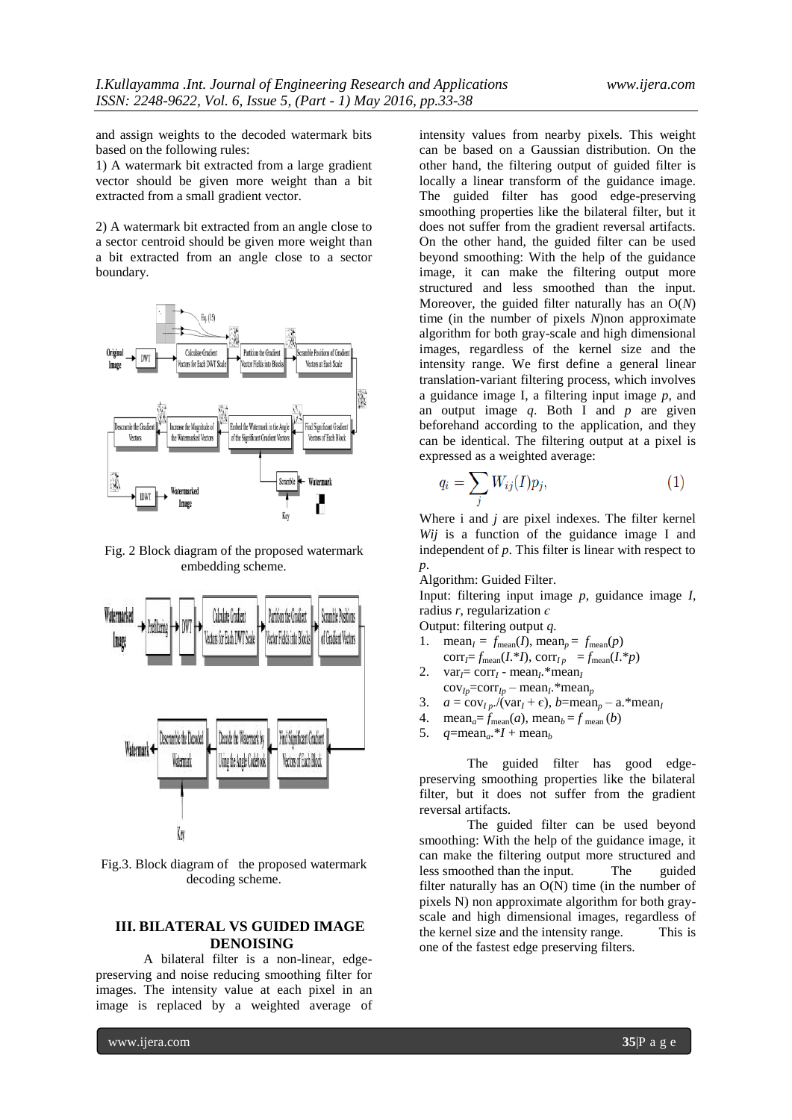and assign weights to the decoded watermark bits based on the following rules:

1) A watermark bit extracted from a large gradient vector should be given more weight than a bit extracted from a small gradient vector.

2) A watermark bit extracted from an angle close to a sector centroid should be given more weight than a bit extracted from an angle close to a sector boundary.



Fig. 2 Block diagram of the proposed watermark embedding scheme.



Fig.3. Block diagram of the proposed watermark decoding scheme.

#### **III. BILATERAL VS GUIDED IMAGE DENOISING**

A bilateral filter is a non-linear, edgepreserving and noise reducing smoothing filter for images. The intensity value at each pixel in an image is replaced by a weighted average of

intensity values from nearby pixels. This weight can be based on a Gaussian distribution. On the other hand, the filtering output of guided filter is locally a linear transform of the guidance image. The guided filter has good edge-preserving smoothing properties like the bilateral filter, but it does not suffer from the gradient reversal artifacts. On the other hand, the guided filter can be used beyond smoothing: With the help of the guidance image, it can make the filtering output more structured and less smoothed than the input. Moreover, the guided filter naturally has an O(*N*) time (in the number of pixels *N*)non approximate algorithm for both gray-scale and high dimensional images, regardless of the kernel size and the intensity range. We first define a general linear translation-variant filtering process, which involves a guidance image I, a filtering input image *p*, and an output image *q*. Both I and *p* are given beforehand according to the application, and they can be identical. The filtering output at a pixel is expressed as a weighted average:

$$
q_i = \sum_j W_{ij}(I)p_j,\tag{1}
$$

Where i and *j* are pixel indexes. The filter kernel *Wij* is a function of the guidance image I and independent of *p*. This filter is linear with respect to *p*.

Algorithm: Guided Filter.

Input: filtering input image *p*, guidance image *I*, radius *r*, regularization *є*

Output: filtering output *q.*

- 1. mean<sub>*I*</sub> =  $f_{\text{mean}}(I)$ , mean<sub>*p*</sub> =  $f_{\text{mean}}(p)$  $corr_f = f_{mean}(I^*I)$ ,  $corr_{Ip} = f_{mean}(I^*p)$
- 2. var<sub>*I*</sub>= corr<sub>*I*</sub> mean<sub>*I*</sub>.\*mean<sub>*I*</sub>  $cov_{Ip} = corr_{Ip} - mean_{I}$  \*mean<sub>*p*</sub>
- 3.  $a = \frac{\text{cov}_{I_p}}{\text{var}_I + \epsilon}$ ,  $b = \text{mean}_p \text{a}$ . \* mean<sub>*I*</sub>
- 4. mean<sub>*a*</sub>=  $f_{\text{mean}}(a)$ , mean<sub>*b*</sub> =  $f_{\text{mean}}(b)$ <br>5.  $q = \text{mean}_a.*I + \text{mean}_b$
- $q = \text{mean}_a.*I + \text{mean}_b$

The guided filter has good edgepreserving smoothing properties like the bilateral filter, but it does not suffer from the gradient reversal artifacts.

The guided filter can be used beyond smoothing: With the help of the guidance image, it can make the filtering output more structured and less smoothed than the input. The guided filter naturally has an O(N) time (in the number of pixels N) non approximate algorithm for both grayscale and high dimensional images, regardless of the kernel size and the intensity range. This is one of the fastest edge preserving filters.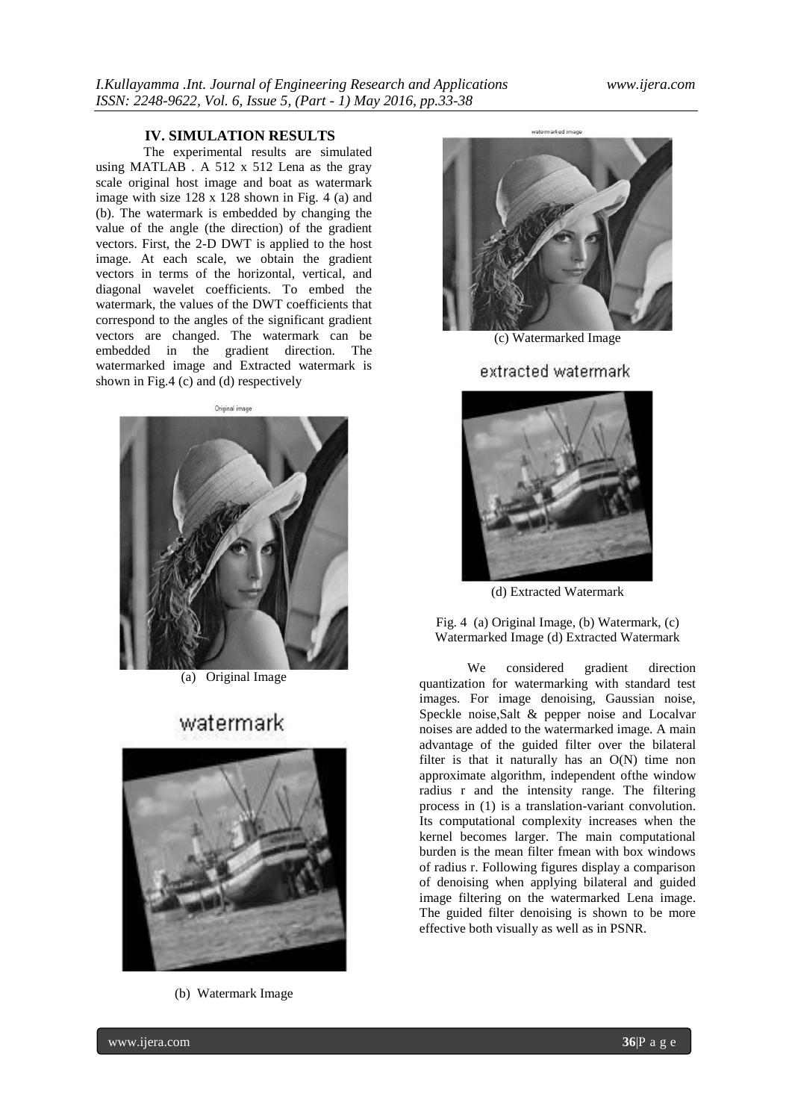#### **IV. SIMULATION RESULTS**

The experimental results are simulated using MATLAB . A 512 x 512 Lena as the gray scale original host image and boat as watermark image with size 128 x 128 shown in Fig. 4 (a) and (b). The watermark is embedded by changing the value of the angle (the direction) of the gradient vectors. First, the 2-D DWT is applied to the host image. At each scale, we obtain the gradient vectors in terms of the horizontal, vertical, and diagonal wavelet coefficients. To embed the watermark, the values of the DWT coefficients that correspond to the angles of the significant gradient vectors are changed. The watermark can be embedded in the gradient direction. The watermarked image and Extracted watermark is shown in Fig.4 (c) and (d) respectively

#### Original image



(a) Original Image

## watermark



(b) Watermark Image



(c) Watermarked Image

extracted watermark



(d) Extracted Watermark

Fig. 4 (a) Original Image, (b) Watermark, (c) Watermarked Image (d) Extracted Watermark

We considered gradient direction quantization for watermarking with standard test images. For image denoising, Gaussian noise, Speckle noise,Salt & pepper noise and Localvar noises are added to the watermarked image. A main advantage of the guided filter over the bilateral filter is that it naturally has an  $O(N)$  time non approximate algorithm, independent ofthe window radius r and the intensity range. The filtering process in (1) is a translation-variant convolution. Its computational complexity increases when the kernel becomes larger. The main computational burden is the mean filter fmean with box windows of radius r. Following figures display a comparison of denoising when applying bilateral and guided image filtering on the watermarked Lena image. The guided filter denoising is shown to be more effective both visually as well as in PSNR.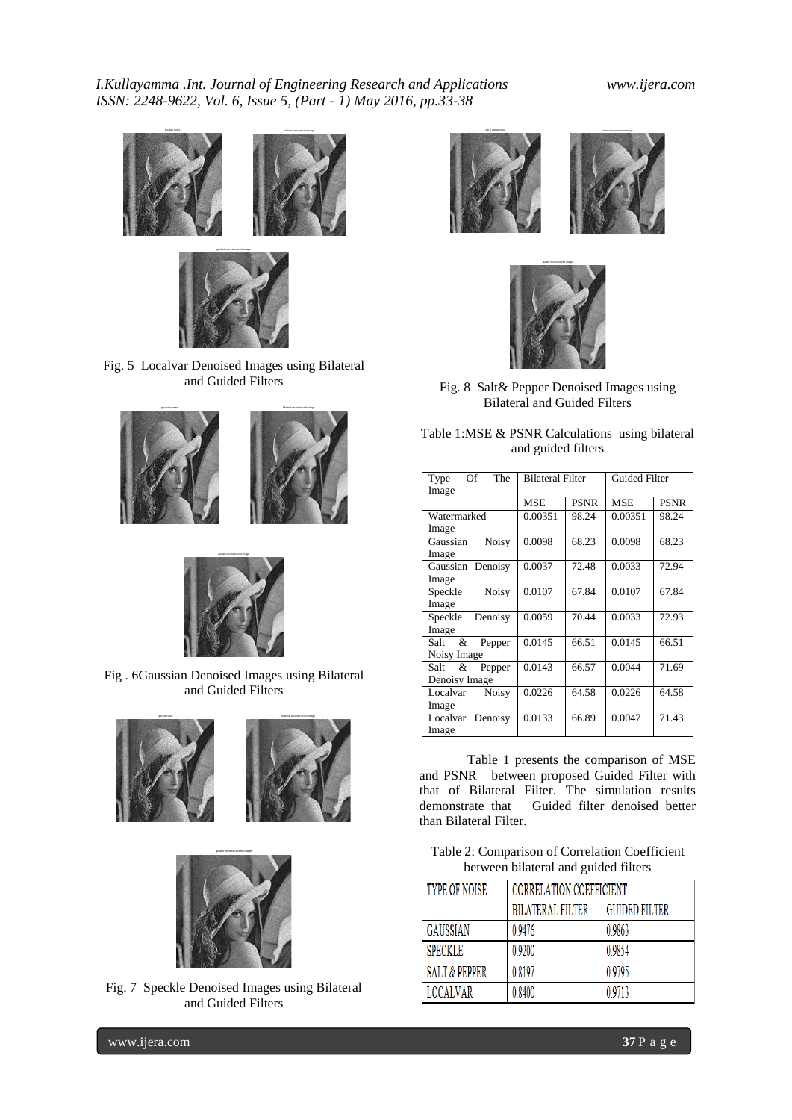



Fig. 5 Localvar Denoised Images using Bilateral and Guided Filters





Fig . 6Gaussian Denoised Images using Bilateral and Guided Filters





Fig. 7 Speckle Denoised Images using Bilateral and Guided Filters





Fig. 8 Salt& Pepper Denoised Images using Bilateral and Guided Filters

| Table 1:MSE & PSNR Calculations using bilateral |  |
|-------------------------------------------------|--|
| and guided filters                              |  |
|                                                 |  |

| The<br>Of<br>Type        | <b>Bilateral Filter</b> |             | <b>Guided Filter</b> |             |
|--------------------------|-------------------------|-------------|----------------------|-------------|
| Image                    |                         |             |                      |             |
|                          | <b>MSE</b>              | <b>PSNR</b> | <b>MSE</b>           | <b>PSNR</b> |
| Watermarked              | 0.00351                 | 98.24       | 0.00351              | 98.24       |
| Image                    |                         |             |                      |             |
| <b>Noisy</b><br>Gaussian | 0.0098                  | 68.23       | 0.0098               | 68.23       |
| Image                    |                         |             |                      |             |
| Gaussian Denoisy         | 0.0037                  | 72.48       | 0.0033               | 72.94       |
| Image                    |                         |             |                      |             |
| <b>Noisy</b><br>Speckle  | 0.0107                  | 67.84       | 0.0107               | 67.84       |
| Image                    |                         |             |                      |             |
| Speckle Denoisy          | 0.0059                  | 70.44       | 0.0033               | 72.93       |
| Image                    |                         |             |                      |             |
| Salt &<br>Pepper         | 0.0145                  | 66.51       | 0.0145               | 66.51       |
| Noisy Image              |                         |             |                      |             |
| Salt &<br>Pepper         | 0.0143                  | 66.57       | 0.0044               | 71.69       |
| Denoisy Image            |                         |             |                      |             |
| <b>Noisy</b><br>Localvar | 0.0226                  | 64.58       | 0.0226               | 64.58       |
| Image                    |                         |             |                      |             |
| Localvar Denoisy         | 0.0133                  | 66.89       | 0.0047               | 71.43       |
| Image                    |                         |             |                      |             |

Table 1 presents the comparison of MSE and PSNR between proposed Guided Filter with that of Bilateral Filter. The simulation results demonstrate that Guided filter denoised better than Bilateral Filter.

Table 2: Comparison of Correlation Coefficient between bilateral and guided filters

| TYPE OF NOISE            | <b>CORRELATION COEFFICIENT</b> |                      |  |
|--------------------------|--------------------------------|----------------------|--|
|                          | <b>BILATERAL FILTER</b>        | <b>GUIDED FILTER</b> |  |
| GAUSSIAN                 | 0.9476                         | 0.9863               |  |
| <b>SPECKLE</b>           | 0.9200                         | 0.9854               |  |
| <b>SALT &amp; PEPPER</b> | 0.8197                         | 0.9795               |  |
| <b>LOCALVAR</b>          | 0.8400                         | 0.9713               |  |